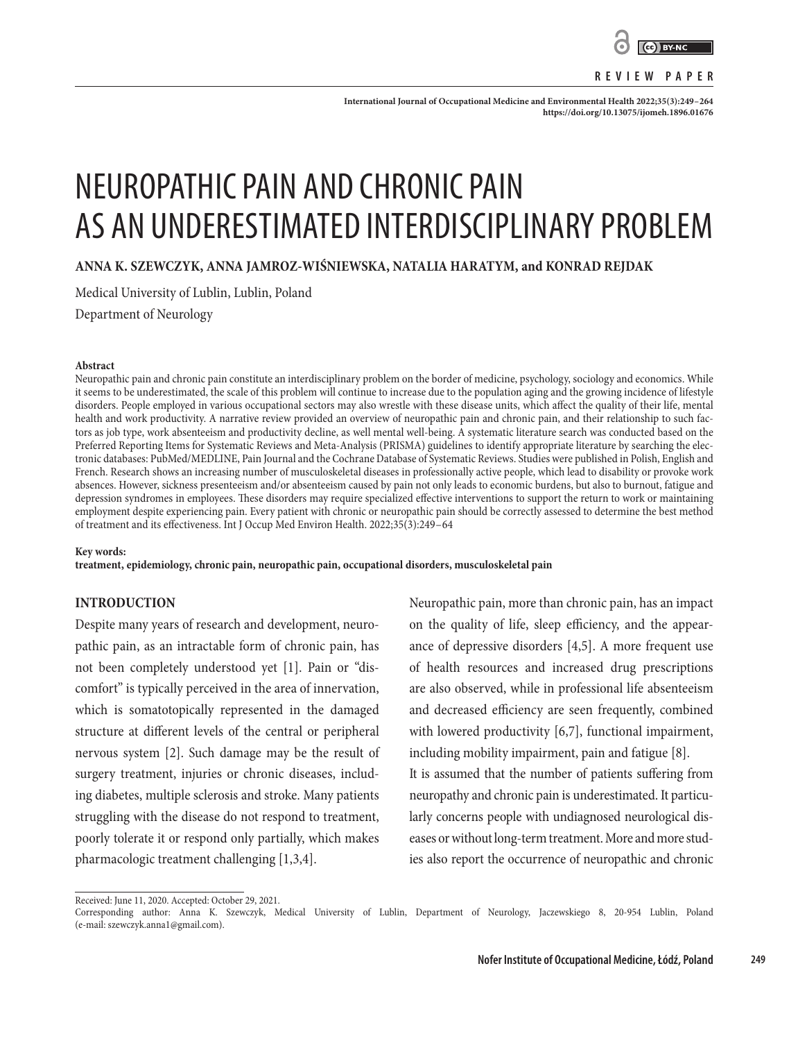

#### **REVIEW PAPER**

**International Journal of Occupational Medicine and Environmental Health 2022;35(3):249–264 <https://doi.org/10.13075/ijomeh.1896.01676>**

# NEUROPATHIC PAIN AND CHRONIC PAIN AS AN UNDERESTIMATED INTERDISCIPLINARY PROBLEM

**ANNA K. SZEWCZYK, ANNA JAMROZ-WIŚNIEWSKA, NATALIA HARATYM, and KONRAD REJDAK**

Medical University of Lublin, Lublin, Poland

Department of Neurology

#### **Abstract**

Neuropathic pain and chronic pain constitute an interdisciplinary problem on the border of medicine, psychology, sociology and economics. While it seems to be underestimated, the scale of this problem will continue to increase due to the population aging and the growing incidence of lifestyle disorders. People employed in various occupational sectors may also wrestle with these disease units, which affect the quality of their life, mental health and work productivity. A narrative review provided an overview of neuropathic pain and chronic pain, and their relationship to such factors as job type, work absenteeism and productivity decline, as well mental well-being. A systematic literature search was conducted based on the Preferred Reporting Items for Systematic Reviews and Meta-Analysis (PRISMA) guidelines to identify appropriate literature by searching the electronic databases: PubMed/MEDLINE, Pain Journal and the Cochrane Database of Systematic Reviews. Studies were published in Polish, English and French. Research shows an increasing number of musculoskeletal diseases in professionally active people, which lead to disability or provoke work absences. However, sickness presenteeism and/or absenteeism caused by pain not only leads to economic burdens, but also to burnout, fatigue and depression syndromes in employees. These disorders may require specialized effective interventions to support the return to work or maintaining employment despite experiencing pain. Every patient with chronic or neuropathic pain should be correctly assessed to determine the best method of treatment and its effectiveness. Int J Occup Med Environ Health. 2022;35(3):249–64

#### **Key words:**

**treatment, epidemiology, chronic pain, neuropathic pain, occupational disorders, musculoskeletal pain**

#### **INTRODUCTION**

Despite many years of research and development, neuropathic pain, as an intractable form of chronic pain, has not been completely understood yet [1]. Pain or "discomfort" is typically perceived in the area of innervation, which is somatotopically represented in the damaged structure at different levels of the central or peripheral nervous system [2]. Such damage may be the result of surgery treatment, injuries or chronic diseases, including diabetes, multiple sclerosis and stroke. Many patients struggling with the disease do not respond to treatment, poorly tolerate it or respond only partially, which makes pharmacologic treatment challenging [1,3,4].

Neuropathic pain, more than chronic pain, has an impact on the quality of life, sleep efficiency, and the appearance of depressive disorders [4,5]. A more frequent use of health resources and increased drug prescriptions are also observed, while in professional life absenteeism and decreased efficiency are seen frequently, combined with lowered productivity [6,7], functional impairment, including mobility impairment, pain and fatigue [8].

It is assumed that the number of patients suffering from neuropathy and chronic pain is underestimated. It particularly concerns people with undiagnosed neurological diseases or without long-term treatment. More and more studies also report the occurrence of neuropathic and chronic

Received: June 11, 2020. Accepted: October 29, 2021.

Corresponding author: Anna K. Szewczyk, Medical University of Lublin, Department of Neurology, Jaczewskiego 8, 20-954 Lublin, Poland (e-mail: szewczyk.anna1@gmail.com).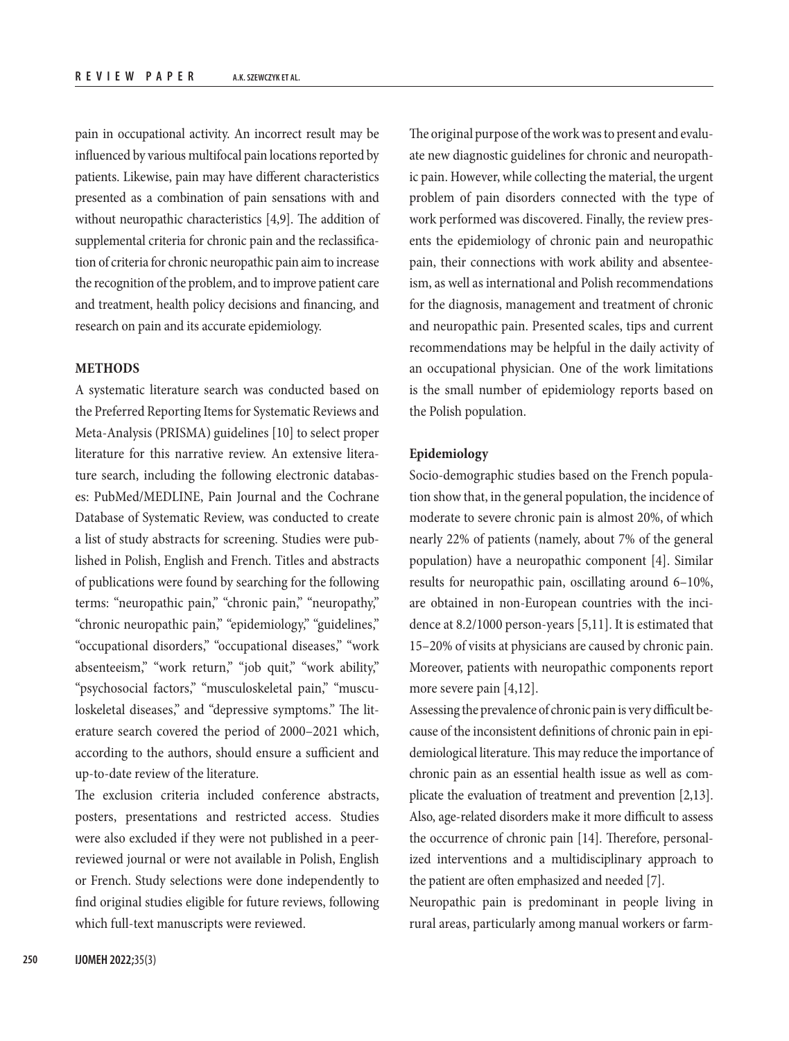pain in occupational activity. An incorrect result may be influenced by various multifocal pain locations reported by patients. Likewise, pain may have different characteristics presented as a combination of pain sensations with and without neuropathic characteristics [4,9]. The addition of supplemental criteria for chronic pain and the reclassification of criteria for chronic neuropathic pain aim to increase the recognition of the problem, and to improve patient care and treatment, health policy decisions and financing, and research on pain and its accurate epidemiology.

# **METHODS**

A systematic literature search was conducted based on the Preferred Reporting Items for Systematic Reviews and Meta-Analysis (PRISMA) guidelines [10] to select proper literature for this narrative review. An extensive literature search, including the following electronic databases: PubMed/MEDLINE, Pain Journal and the Cochrane Database of Systematic Review, was conducted to create a list of study abstracts for screening. Studies were published in Polish, English and French. Titles and abstracts of publications were found by searching for the following terms: "neuropathic pain," "chronic pain," "neuropathy," "chronic neuropathic pain," "epidemiology," "guidelines," "occupational disorders," "occupational diseases," "work absenteeism," "work return," "job quit," "work ability," "psychosocial factors," "musculoskeletal pain," "musculoskeletal diseases," and "depressive symptoms." The literature search covered the period of 2000–2021 which, according to the authors, should ensure a sufficient and up-to-date review of the literature.

The exclusion criteria included conference abstracts, posters, presentations and restricted access. Studies were also excluded if they were not published in a peerreviewed journal or were not available in Polish, English or French. Study selections were done independently to find original studies eligible for future reviews, following which full-text manuscripts were reviewed.

The original purpose of the work was to present and evaluate new diagnostic guidelines for chronic and neuropathic pain. However, while collecting the material, the urgent problem of pain disorders connected with the type of work performed was discovered. Finally, the review presents the epidemiology of chronic pain and neuropathic pain, their connections with work ability and absenteeism, as well as international and Polish recommendations for the diagnosis, management and treatment of chronic and neuropathic pain. Presented scales, tips and current recommendations may be helpful in the daily activity of an occupational physician. One of the work limitations is the small number of epidemiology reports based on the Polish population.

## **Epidemiology**

Socio-demographic studies based on the French population show that, in the general population, the incidence of moderate to severe chronic pain is almost 20%, of which nearly 22% of patients (namely, about 7% of the general population) have a neuropathic component [4]. Similar results for neuropathic pain, oscillating around 6–10%, are obtained in non-European countries with the incidence at 8.2/1000 person-years [5,11]. It is estimated that 15–20% of visits at physicians are caused by chronic pain. Moreover, patients with neuropathic components report more severe pain [4,12].

Assessing the prevalence of chronic pain is very difficult because of the inconsistent definitions of chronic pain in epidemiological literature. This may reduce the importance of chronic pain as an essential health issue as well as complicate the evaluation of treatment and prevention [2,13]. Also, age-related disorders make it more difficult to assess the occurrence of chronic pain [14]. Therefore, personalized interventions and a multidisciplinary approach to the patient are often emphasized and needed [7].

Neuropathic pain is predominant in people living in rural areas, particularly among manual workers or farm-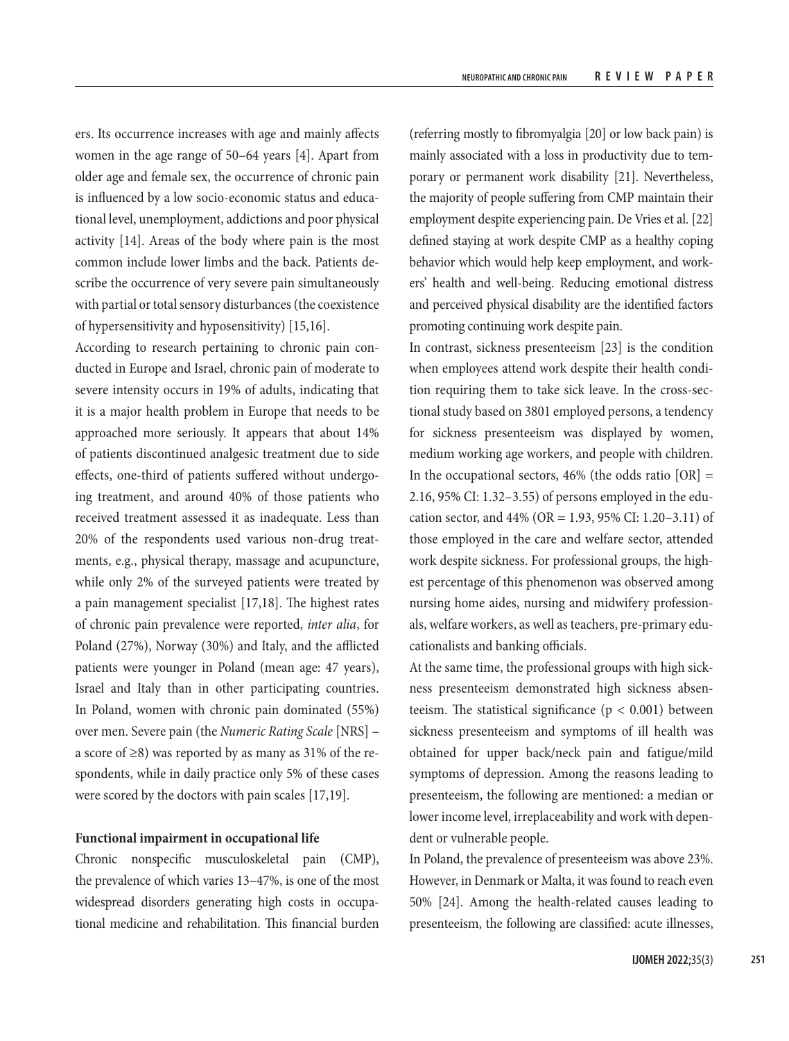ers. Its occurrence increases with age and mainly affects women in the age range of 50–64 years [4]. Apart from older age and female sex, the occurrence of chronic pain is influenced by a low socio-economic status and educational level, unemployment, addictions and poor physical activity [14]. Areas of the body where pain is the most common include lower limbs and the back. Patients describe the occurrence of very severe pain simultaneously with partial or total sensory disturbances (the coexistence of hypersensitivity and hyposensitivity) [15,16].

According to research pertaining to chronic pain conducted in Europe and Israel, chronic pain of moderate to severe intensity occurs in 19% of adults, indicating that it is a major health problem in Europe that needs to be approached more seriously. It appears that about 14% of patients discontinued analgesic treatment due to side effects, one-third of patients suffered without undergoing treatment, and around 40% of those patients who received treatment assessed it as inadequate. Less than 20% of the respondents used various non-drug treatments, e.g., physical therapy, massage and acupuncture, while only 2% of the surveyed patients were treated by a pain management specialist [17,18]. The highest rates of chronic pain prevalence were reported, *inter alia*, for Poland (27%), Norway (30%) and Italy, and the afflicted patients were younger in Poland (mean age: 47 years), Israel and Italy than in other participating countries. In Poland, women with chronic pain dominated (55%) over men. Severe pain (the *Numeric Rating Scale* [NRS] – a score of ≥8) was reported by as many as 31% of the respondents, while in daily practice only 5% of these cases were scored by the doctors with pain scales [17,19].

# **Functional impairment in occupational life**

Chronic nonspecific musculoskeletal pain (CMP), the prevalence of which varies 13–47%, is one of the most widespread disorders generating high costs in occupational medicine and rehabilitation. This financial burden

(referring mostly to fibromyalgia [20] or low back pain) is mainly associated with a loss in productivity due to temporary or permanent work disability [21]. Nevertheless, the majority of people suffering from CMP maintain their employment despite experiencing pain. De Vries et al. [22] defined staying at work despite CMP as a healthy coping behavior which would help keep employment, and workers' health and well-being. Reducing emotional distress and perceived physical disability are the identified factors promoting continuing work despite pain.

In contrast, sickness presenteeism [23] is the condition when employees attend work despite their health condition requiring them to take sick leave. In the cross-sectional study based on 3801 employed persons, a tendency for sickness presenteeism was displayed by women, medium working age workers, and people with children. In the occupational sectors,  $46\%$  (the odds ratio [OR] = 2.16, 95% CI: 1.32–3.55) of persons employed in the education sector, and  $44\%$  (OR = 1.93, 95% CI: 1.20–3.11) of those employed in the care and welfare sector, attended work despite sickness. For professional groups, the highest percentage of this phenomenon was observed among nursing home aides, nursing and midwifery professionals, welfare workers, as well as teachers, pre-primary educationalists and banking officials.

At the same time, the professional groups with high sickness presenteeism demonstrated high sickness absenteeism. The statistical significance ( $p < 0.001$ ) between sickness presenteeism and symptoms of ill health was obtained for upper back/neck pain and fatigue/mild symptoms of depression. Among the reasons leading to presenteeism, the following are mentioned: a median or lower income level, irreplaceability and work with dependent or vulnerable people.

In Poland, the prevalence of presenteeism was above 23%. However, in Denmark or Malta, it was found to reach even 50% [24]. Among the health-related causes leading to presenteeism, the following are classified: acute illnesses,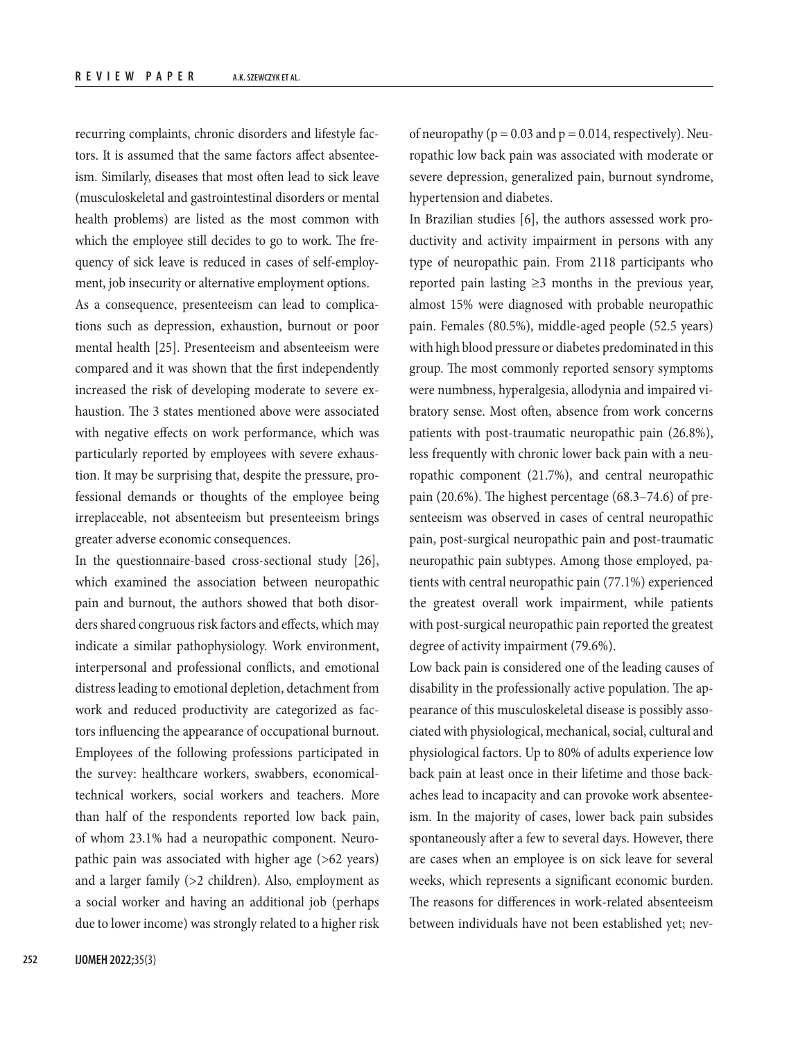recurring complaints, chronic disorders and lifestyle factors. It is assumed that the same factors affect absenteeism. Similarly, diseases that most often lead to sick leave (musculoskeletal and gastrointestinal disorders or mental health problems) are listed as the most common with which the employee still decides to go to work. The frequency of sick leave is reduced in cases of self-employment, job insecurity or alternative employment options.

As a consequence, presenteeism can lead to complications such as depression, exhaustion, burnout or poor mental health [25]. Presenteeism and absenteeism were compared and it was shown that the first independently increased the risk of developing moderate to severe exhaustion. The 3 states mentioned above were associated with negative effects on work performance, which was particularly reported by employees with severe exhaustion. It may be surprising that, despite the pressure, professional demands or thoughts of the employee being irreplaceable, not absenteeism but presenteeism brings greater adverse economic consequences.

In the questionnaire-based cross-sectional study [26], which examined the association between neuropathic pain and burnout, the authors showed that both disorders shared congruous risk factors and effects, which may indicate a similar pathophysiology. Work environment, interpersonal and professional conflicts, and emotional distress leading to emotional depletion, detachment from work and reduced productivity are categorized as factors influencing the appearance of occupational burnout. Employees of the following professions participated in the survey: healthcare workers, swabbers, economicaltechnical workers, social workers and teachers. More than half of the respondents reported low back pain, of whom 23.1% had a neuropathic component. Neuropathic pain was associated with higher age (>62 years) and a larger family (>2 children). Also, employment as a social worker and having an additional job (perhaps due to lower income) was strongly related to a higher risk of neuropathy ( $p = 0.03$  and  $p = 0.014$ , respectively). Neuropathic low back pain was associated with moderate or severe depression, generalized pain, burnout syndrome, hypertension and diabetes.

In Brazilian studies [6], the authors assessed work productivity and activity impairment in persons with any type of neuropathic pain. From 2118 participants who reported pain lasting  $\geq$ 3 months in the previous year, almost 15% were diagnosed with probable neuropathic pain. Females (80.5%), middle-aged people (52.5 years) with high blood pressure or diabetes predominated in this group. The most commonly reported sensory symptoms were numbness, hyperalgesia, allodynia and impaired vibratory sense. Most often, absence from work concerns patients with post-traumatic neuropathic pain (26.8%), less frequently with chronic lower back pain with a neuropathic component (21.7%), and central neuropathic pain (20.6%). The highest percentage (68.3–74.6) of presenteeism was observed in cases of central neuropathic pain, post-surgical neuropathic pain and post-traumatic neuropathic pain subtypes. Among those employed, patients with central neuropathic pain (77.1%) experienced the greatest overall work impairment, while patients with post-surgical neuropathic pain reported the greatest degree of activity impairment (79.6%).

Low back pain is considered one of the leading causes of disability in the professionally active population. The appearance of this musculoskeletal disease is possibly associated with physiological, mechanical, social, cultural and physiological factors. Up to 80% of adults experience low back pain at least once in their lifetime and those backaches lead to incapacity and can provoke work absenteeism. In the majority of cases, lower back pain subsides spontaneously after a few to several days. However, there are cases when an employee is on sick leave for several weeks, which represents a significant economic burden. The reasons for differences in work-related absenteeism between individuals have not been established yet; nev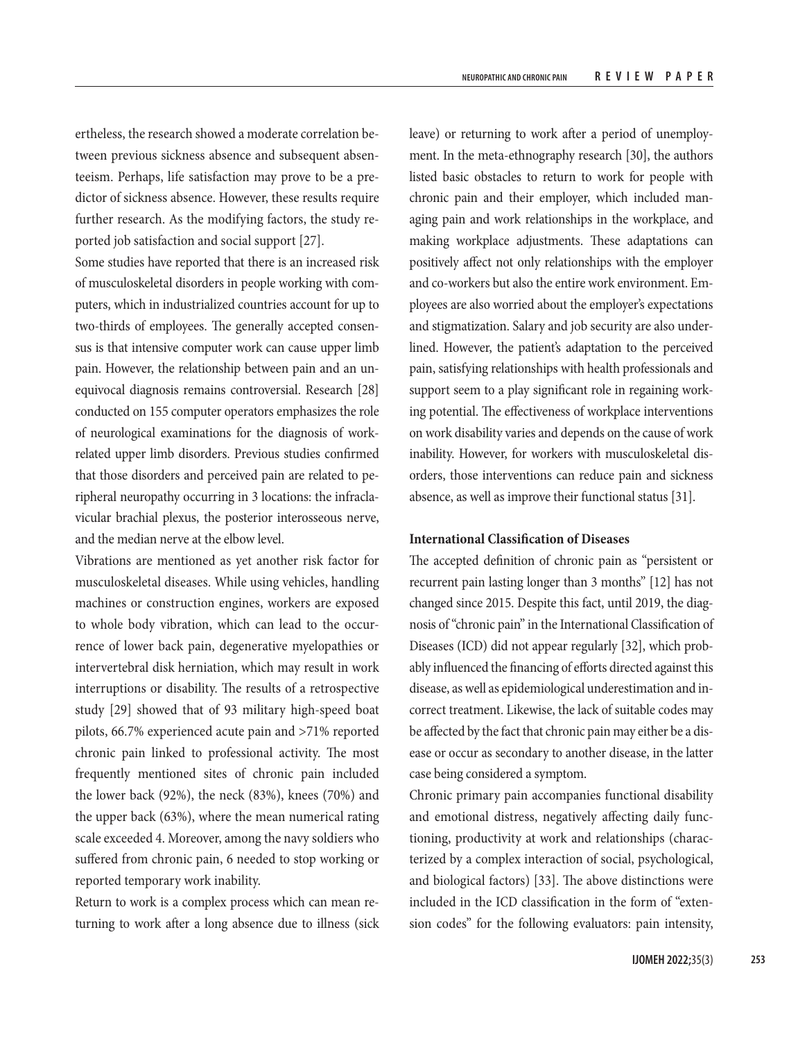ertheless, the research showed a moderate correlation between previous sickness absence and subsequent absenteeism. Perhaps, life satisfaction may prove to be a predictor of sickness absence. However, these results require further research. As the modifying factors, the study reported job satisfaction and social support [27].

Some studies have reported that there is an increased risk of musculoskeletal disorders in people working with computers, which in industrialized countries account for up to two-thirds of employees. The generally accepted consensus is that intensive computer work can cause upper limb pain. However, the relationship between pain and an unequivocal diagnosis remains controversial. Research [28] conducted on 155 computer operators emphasizes the role of neurological examinations for the diagnosis of workrelated upper limb disorders. Previous studies confirmed that those disorders and perceived pain are related to peripheral neuropathy occurring in 3 locations: the infraclavicular brachial plexus, the posterior interosseous nerve, and the median nerve at the elbow level.

Vibrations are mentioned as yet another risk factor for musculoskeletal diseases. While using vehicles, handling machines or construction engines, workers are exposed to whole body vibration, which can lead to the occurrence of lower back pain, degenerative myelopathies or intervertebral disk herniation, which may result in work interruptions or disability. The results of a retrospective study [29] showed that of 93 military high-speed boat pilots, 66.7% experienced acute pain and >71% reported chronic pain linked to professional activity. The most frequently mentioned sites of chronic pain included the lower back (92%), the neck (83%), knees (70%) and the upper back (63%), where the mean numerical rating scale exceeded 4. Moreover, among the navy soldiers who suffered from chronic pain, 6 needed to stop working or reported temporary work inability.

Return to work is a complex process which can mean returning to work after a long absence due to illness (sick leave) or returning to work after a period of unemployment. In the meta-ethnography research [30], the authors listed basic obstacles to return to work for people with chronic pain and their employer, which included managing pain and work relationships in the workplace, and making workplace adjustments. These adaptations can positively affect not only relationships with the employer and co-workers but also the entire work environment. Employees are also worried about the employer's expectations and stigmatization. Salary and job security are also underlined. However, the patient's adaptation to the perceived pain, satisfying relationships with health professionals and support seem to a play significant role in regaining working potential. The effectiveness of workplace interventions on work disability varies and depends on the cause of work inability. However, for workers with musculoskeletal disorders, those interventions can reduce pain and sickness absence, as well as improve their functional status [31].

# **International Classification of Diseases**

The accepted definition of chronic pain as "persistent or recurrent pain lasting longer than 3 months" [12] has not changed since 2015. Despite this fact, until 2019, the diagnosis of "chronic pain" in the International Classification of Diseases (ICD) did not appear regularly [32], which probably influenced the financing of efforts directed against this disease, as well as epidemiological underestimation and incorrect treatment. Likewise, the lack of suitable codes may be affected by the fact that chronic pain may either be a disease or occur as secondary to another disease, in the latter case being considered a symptom.

Chronic primary pain accompanies functional disability and emotional distress, negatively affecting daily functioning, productivity at work and relationships (characterized by a complex interaction of social, psychological, and biological factors) [33]. The above distinctions were included in the ICD classification in the form of "extension codes" for the following evaluators: pain intensity,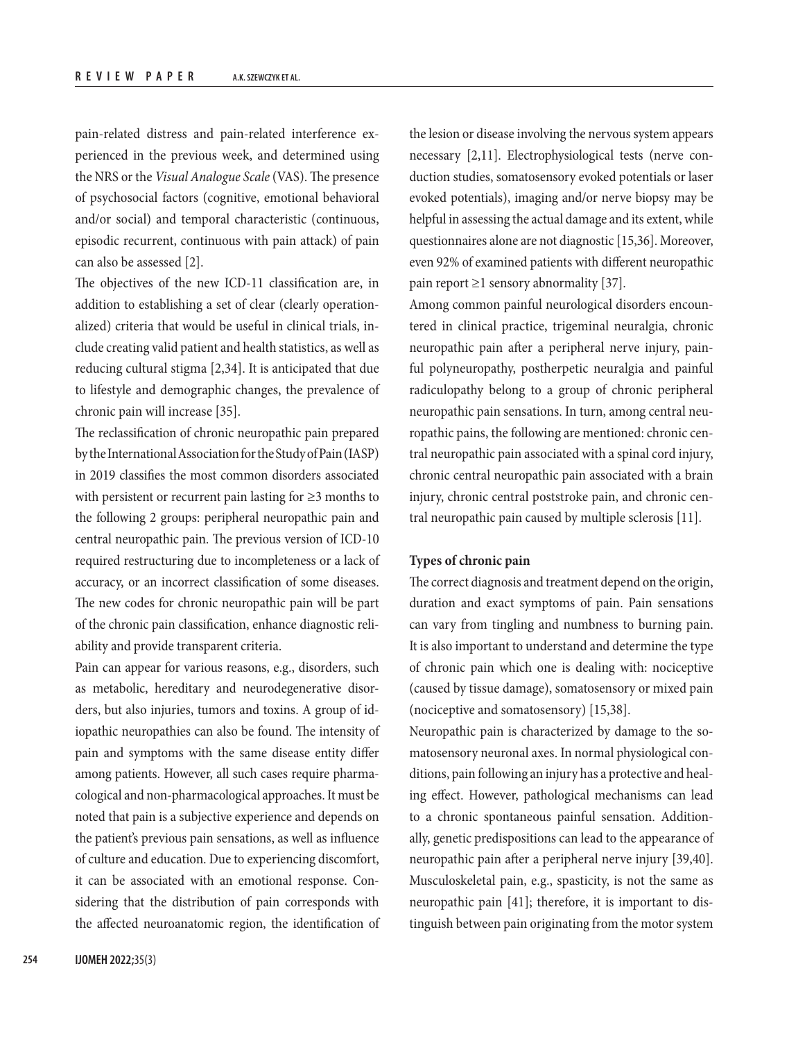pain-related distress and pain-related interference experienced in the previous week, and determined using the NRS or the *Visual Analogue Scale* (VAS). The presence of psychosocial factors (cognitive, emotional behavioral and/or social) and temporal characteristic (continuous, episodic recurrent, continuous with pain attack) of pain can also be assessed [2].

The objectives of the new ICD-11 classification are, in addition to establishing a set of clear (clearly operationalized) criteria that would be useful in clinical trials, include creating valid patient and health statistics, as well as reducing cultural stigma [2,34]. It is anticipated that due to lifestyle and demographic changes, the prevalence of chronic pain will increase [35].

The reclassification of chronic neuropathic pain prepared by the International Association for the Study of Pain (IASP) in 2019 classifies the most common disorders associated with persistent or recurrent pain lasting for ≥3 months to the following 2 groups: peripheral neuropathic pain and central neuropathic pain. The previous version of ICD-10 required restructuring due to incompleteness or a lack of accuracy, or an incorrect classification of some diseases. The new codes for chronic neuropathic pain will be part of the chronic pain classification, enhance diagnostic reliability and provide transparent criteria.

Pain can appear for various reasons, e.g., disorders, such as metabolic, hereditary and neurodegenerative disorders, but also injuries, tumors and toxins. A group of idiopathic neuropathies can also be found. The intensity of pain and symptoms with the same disease entity differ among patients. However, all such cases require pharmacological and non-pharmacological approaches. It must be noted that pain is a subjective experience and depends on the patient's previous pain sensations, as well as influence of culture and education. Due to experiencing discomfort, it can be associated with an emotional response. Considering that the distribution of pain corresponds with the affected neuroanatomic region, the identification of

the lesion or disease involving the nervous system appears necessary [2,11]. Electrophysiological tests (nerve conduction studies, somatosensory evoked potentials or laser evoked potentials), imaging and/or nerve biopsy may be helpful in assessing the actual damage and its extent, while questionnaires alone are not diagnostic [15,36]. Moreover, even 92% of examined patients with different neuropathic pain report ≥1 sensory abnormality [37].

Among common painful neurological disorders encountered in clinical practice, trigeminal neuralgia, chronic neuropathic pain after a peripheral nerve injury, painful polyneuropathy, postherpetic neuralgia and painful radiculopathy belong to a group of chronic peripheral neuropathic pain sensations. In turn, among central neuropathic pains, the following are mentioned: chronic central neuropathic pain associated with a spinal cord injury, chronic central neuropathic pain associated with a brain injury, chronic central poststroke pain, and chronic central neuropathic pain caused by multiple sclerosis [11].

## **Types of chronic pain**

The correct diagnosis and treatment depend on the origin, duration and exact symptoms of pain. Pain sensations can vary from tingling and numbness to burning pain. It is also important to understand and determine the type of chronic pain which one is dealing with: nociceptive (caused by tissue damage), somatosensory or mixed pain (nociceptive and somatosensory) [15,38].

Neuropathic pain is characterized by damage to the somatosensory neuronal axes. In normal physiological conditions, pain following an injury has a protective and healing effect. However, pathological mechanisms can lead to a chronic spontaneous painful sensation. Additionally, genetic predispositions can lead to the appearance of neuropathic pain after a peripheral nerve injury [39,40]. Musculoskeletal pain, e.g., spasticity, is not the same as neuropathic pain [41]; therefore, it is important to distinguish between pain originating from the motor system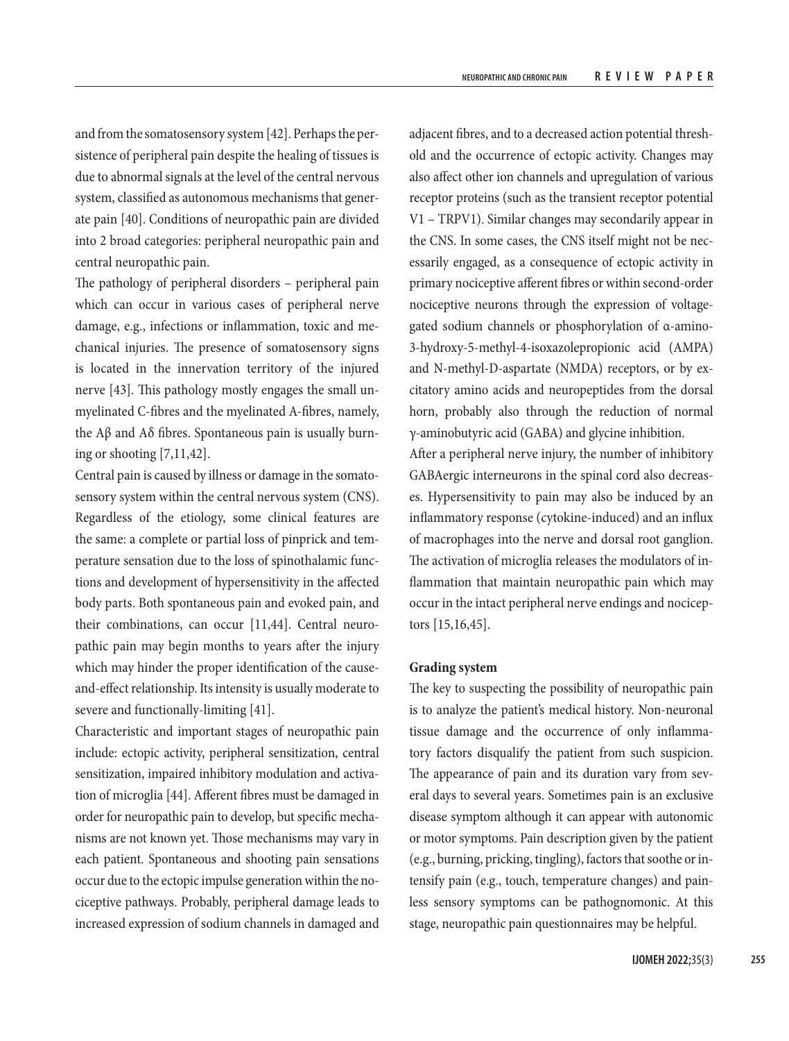and from the somatosensory system [42]. Perhaps the persistence of peripheral pain despite the healing of tissues is due to abnormal signals at the level of the central nervous system, classified as autonomous mechanisms that generate pain [40]. Conditions of neuropathic pain are divided into 2 broad categories: peripheral neuropathic pain and central neuropathic pain.

The pathology of peripheral disorders – peripheral pain which can occur in various cases of peripheral nerve damage, e.g., infections or inflammation, toxic and mechanical injuries. The presence of somatosensory signs is located in the innervation territory of the injured nerve [43]. This pathology mostly engages the small unmyelinated C-fibres and the myelinated A-fibres, namely, the  $\Lambda$ β and  $\Lambda$ δ fibres. Spontaneous pain is usually burning or shooting [7,11,42].

Central pain is caused by illness or damage in the somatosensory system within the central nervous system (CNS). Regardless of the etiology, some clinical features are the same: a complete or partial loss of pinprick and temperature sensation due to the loss of spinothalamic functions and development of hypersensitivity in the affected body parts. Both spontaneous pain and evoked pain, and their combinations, can occur [11,44]. Central neuropathic pain may begin months to years after the injury which may hinder the proper identification of the causeand-effect relationship. Its intensity is usually moderate to severe and functionally-limiting [41].

Characteristic and important stages of neuropathic pain include: ectopic activity, peripheral sensitization, central sensitization, impaired inhibitory modulation and activation of microglia [44]. Afferent fibres must be damaged in order for neuropathic pain to develop, but specific mechanisms are not known yet. Those mechanisms may vary in each patient. Spontaneous and shooting pain sensations occur due to the ectopic impulse generation within the nociceptive pathways. Probably, peripheral damage leads to increased expression of sodium channels in damaged and

adjacent fibres, and to a decreased action potential threshold and the occurrence of ectopic activity. Changes may also affect other ion channels and upregulation of various receptor proteins (such as the transient receptor potential V1 – TRPV1). Similar changes may secondarily appear in the CNS. In some cases, the CNS itself might not be necessarily engaged, as a consequence of ectopic activity in primary nociceptive afferent fibres or within second-order nociceptive neurons through the expression of voltagegated sodium channels or phosphorylation of α-amino-3-hydroxy-5-methyl-4-isoxazolepropionic acid (AMPA) and N-methyl-D-aspartate (NMDA) receptors, or by excitatory amino acids and neuropeptides from the dorsal horn, probably also through the reduction of normal γ-aminobutyric acid (GABA) and glycine inhibition.

After a peripheral nerve injury, the number of inhibitory GABAergic interneurons in the spinal cord also decreases. Hypersensitivity to pain may also be induced by an inflammatory response (cytokine-induced) and an influx of macrophages into the nerve and dorsal root ganglion. The activation of microglia releases the modulators of inflammation that maintain neuropathic pain which may occur in the intact peripheral nerve endings and nociceptors [15,16,45].

#### **Grading system**

The key to suspecting the possibility of neuropathic pain is to analyze the patient's medical history. Non-neuronal tissue damage and the occurrence of only inflammatory factors disqualify the patient from such suspicion. The appearance of pain and its duration vary from several days to several years. Sometimes pain is an exclusive disease symptom although it can appear with autonomic or motor symptoms. Pain description given by the patient (e.g., burning, pricking, tingling), factors that soothe or intensify pain (e.g., touch, temperature changes) and painless sensory symptoms can be pathognomonic. At this stage, neuropathic pain questionnaires may be helpful.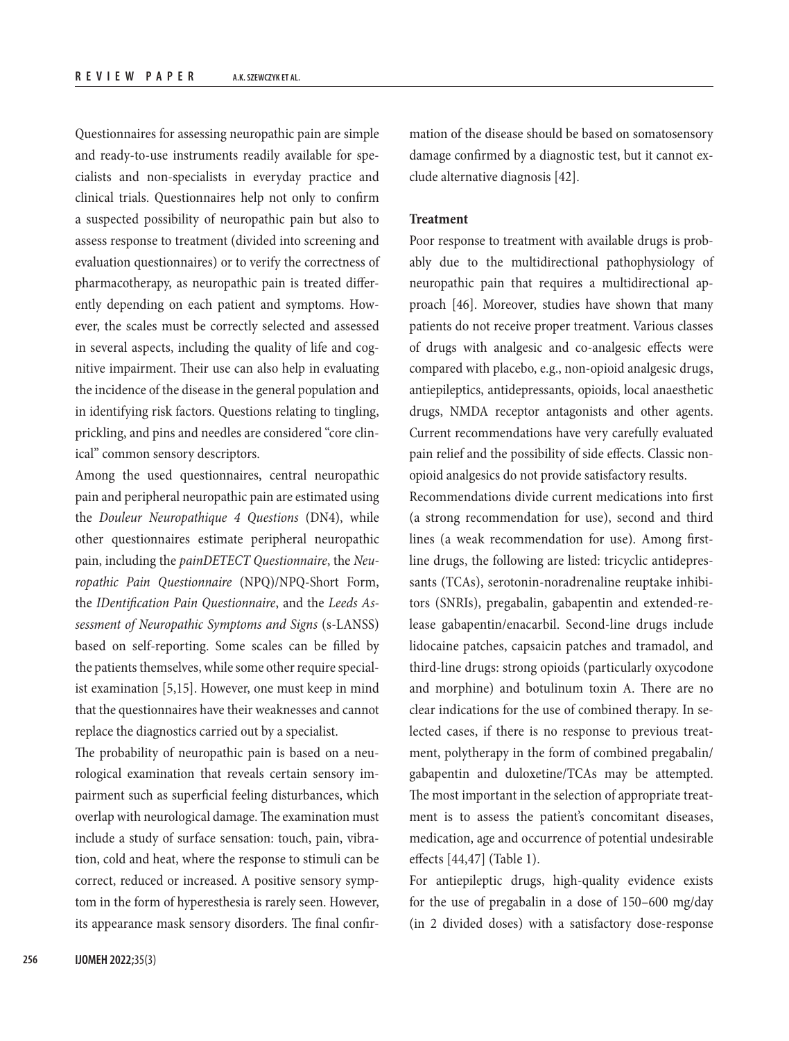Questionnaires for assessing neuropathic pain are simple and ready-to-use instruments readily available for specialists and non-specialists in everyday practice and clinical trials. Questionnaires help not only to confirm a suspected possibility of neuropathic pain but also to assess response to treatment (divided into screening and evaluation questionnaires) or to verify the correctness of pharmacotherapy, as neuropathic pain is treated differently depending on each patient and symptoms. However, the scales must be correctly selected and assessed in several aspects, including the quality of life and cognitive impairment. Their use can also help in evaluating the incidence of the disease in the general population and in identifying risk factors. Questions relating to tingling, prickling, and pins and needles are considered "core clinical" common sensory descriptors.

Among the used questionnaires, central neuropathic pain and peripheral neuropathic pain are estimated using the *Douleur Neuropathique 4 Questions* (DN4), while other questionnaires estimate peripheral neuropathic pain, including the *painDETECT Questionnaire*, the *Neuropathic Pain Questionnaire* (NPQ)/NPQ-Short Form, the *IDentification Pain Questionnaire*, and the *Leeds Assessment of Neuropathic Symptoms and Signs* (s-LANSS) based on self-reporting. Some scales can be filled by the patients themselves, while some other require specialist examination [5,15]. However, one must keep in mind that the questionnaires have their weaknesses and cannot replace the diagnostics carried out by a specialist.

The probability of neuropathic pain is based on a neurological examination that reveals certain sensory impairment such as superficial feeling disturbances, which overlap with neurological damage. The examination must include a study of surface sensation: touch, pain, vibration, cold and heat, where the response to stimuli can be correct, reduced or increased. A positive sensory symptom in the form of hyperesthesia is rarely seen. However, its appearance mask sensory disorders. The final confirmation of the disease should be based on somatosensory damage confirmed by a diagnostic test, but it cannot exclude alternative diagnosis [42].

# **Treatment**

Poor response to treatment with available drugs is probably due to the multidirectional pathophysiology of neuropathic pain that requires a multidirectional approach [46]. Moreover, studies have shown that many patients do not receive proper treatment. Various classes of drugs with analgesic and co-analgesic effects were compared with placebo, e.g., non-opioid analgesic drugs, antiepileptics, antidepressants, opioids, local anaesthetic drugs, NMDA receptor antagonists and other agents. Current recommendations have very carefully evaluated pain relief and the possibility of side effects. Classic nonopioid analgesics do not provide satisfactory results.

Recommendations divide current medications into first (a strong recommendation for use), second and third lines (a weak recommendation for use). Among firstline drugs, the following are listed: tricyclic antidepressants (TCAs), serotonin-noradrenaline reuptake inhibitors (SNRIs), pregabalin, gabapentin and extended-release gabapentin/enacarbil. Second-line drugs include lidocaine patches, capsaicin patches and tramadol, and third-line drugs: strong opioids (particularly oxycodone and morphine) and botulinum toxin A. There are no clear indications for the use of combined therapy. In selected cases, if there is no response to previous treatment, polytherapy in the form of combined pregabalin/ gabapentin and duloxetine/TCAs may be attempted. The most important in the selection of appropriate treatment is to assess the patient's concomitant diseases, medication, age and occurrence of potential undesirable effects [44,47] (Table 1).

For antiepileptic drugs, high-quality evidence exists for the use of pregabalin in a dose of 150–600 mg/day (in 2 divided doses) with a satisfactory dose-response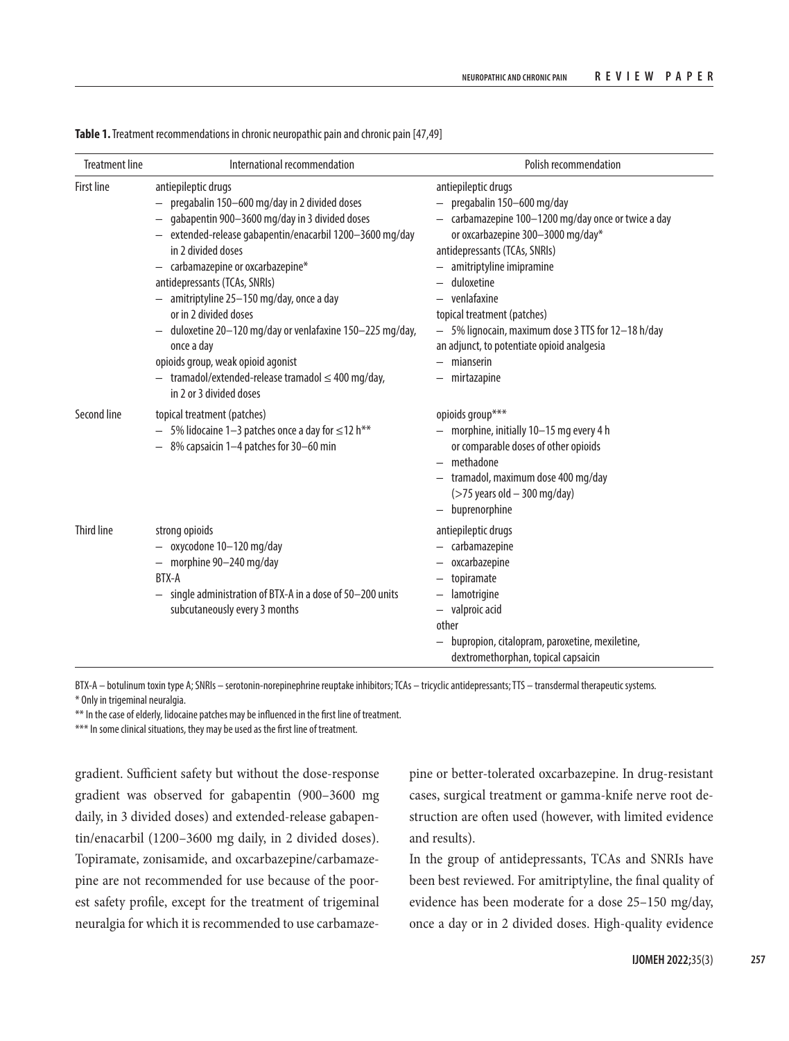| <b>Treatment line</b> | International recommendation                                                                                                                                                                                                                                                                                                                                                                                                                                                                                                                                  | Polish recommendation                                                                                                                                                                                                                                                                                                                                                                                     |
|-----------------------|---------------------------------------------------------------------------------------------------------------------------------------------------------------------------------------------------------------------------------------------------------------------------------------------------------------------------------------------------------------------------------------------------------------------------------------------------------------------------------------------------------------------------------------------------------------|-----------------------------------------------------------------------------------------------------------------------------------------------------------------------------------------------------------------------------------------------------------------------------------------------------------------------------------------------------------------------------------------------------------|
| <b>First line</b>     | antiepileptic drugs<br>- pregabalin 150-600 mg/day in 2 divided doses<br>gabapentin 900-3600 mg/day in 3 divided doses<br>- extended-release gabapentin/enacarbil 1200-3600 mg/day<br>in 2 divided doses<br>$-$ carbamazepine or oxcarbazepine*<br>antidepressants (TCAs, SNRIs)<br>- amitriptyline 25-150 mg/day, once a day<br>or in 2 divided doses<br>duloxetine 20-120 mg/day or venlafaxine 150-225 mg/day,<br>once a day<br>opioids group, weak opioid agonist<br>$-$ tramadol/extended-release tramadol $\leq 400$ mg/day,<br>in 2 or 3 divided doses | antiepileptic drugs<br>$-$ pregabalin 150-600 mg/day<br>- carbamazepine 100-1200 mg/day once or twice a day<br>or oxcarbazepine 300-3000 mg/day*<br>antidepressants (TCAs, SNRIs)<br>amitriptyline imipramine<br>duloxetine<br>venlafaxine<br>topical treatment (patches)<br>- 5% lignocain, maximum dose 3 TTS for 12-18 h/day<br>an adjunct, to potentiate opioid analgesia<br>mianserin<br>mirtazapine |
| Second line           | topical treatment (patches)<br>5% lidocaine 1-3 patches once a day for $\leq$ 12 h**<br>- 8% capsaicin 1-4 patches for 30-60 min                                                                                                                                                                                                                                                                                                                                                                                                                              | opioids group***<br>- morphine, initially 10-15 mg every 4 h<br>or comparable doses of other opioids<br>- methadone<br>- tramadol, maximum dose 400 mg/day<br>$($ >75 years old - 300 mg/day)<br>- buprenorphine                                                                                                                                                                                          |
| <b>Third line</b>     | strong opioids<br>oxycodone 10-120 mg/day<br>$-$ morphine 90-240 mg/day<br>BTX-A<br>single administration of BTX-A in a dose of 50-200 units<br>subcutaneously every 3 months                                                                                                                                                                                                                                                                                                                                                                                 | antiepileptic drugs<br>- carbamazepine<br>oxcarbazepine<br>topiramate<br>lamotrigine<br>valproic acid<br>other<br>bupropion, citalopram, paroxetine, mexiletine,<br>dextromethorphan, topical capsaicin                                                                                                                                                                                                   |

**Table 1.** Treatment recommendations in chronic neuropathic pain and chronic pain [47,49]

BTX-A – botulinum toxin type A; SNRIs – serotonin-norepinephrine reuptake inhibitors; TCAs – tricyclic antidepressants; TTS – transdermal therapeutic systems. \* Only in trigeminal neuralgia.

\*\* In the case of elderly, lidocaine patches may be influenced in the first line of treatment.

\*\*\* In some clinical situations, they may be used as the first line of treatment.

gradient. Sufficient safety but without the dose-response gradient was observed for gabapentin (900–3600 mg daily, in 3 divided doses) and extended-release gabapentin/enacarbil (1200–3600 mg daily, in 2 divided doses). Topiramate, zonisamide, and oxcarbazepine/carbamazepine are not recommended for use because of the poorest safety profile, except for the treatment of trigeminal neuralgia for which it is recommended to use carbamazepine or better-tolerated oxcarbazepine. In drug-resistant cases, surgical treatment or gamma-knife nerve root destruction are often used (however, with limited evidence and results).

In the group of antidepressants, TCAs and SNRIs have been best reviewed. For amitriptyline, the final quality of evidence has been moderate for a dose 25–150 mg/day, once a day or in 2 divided doses. High-quality evidence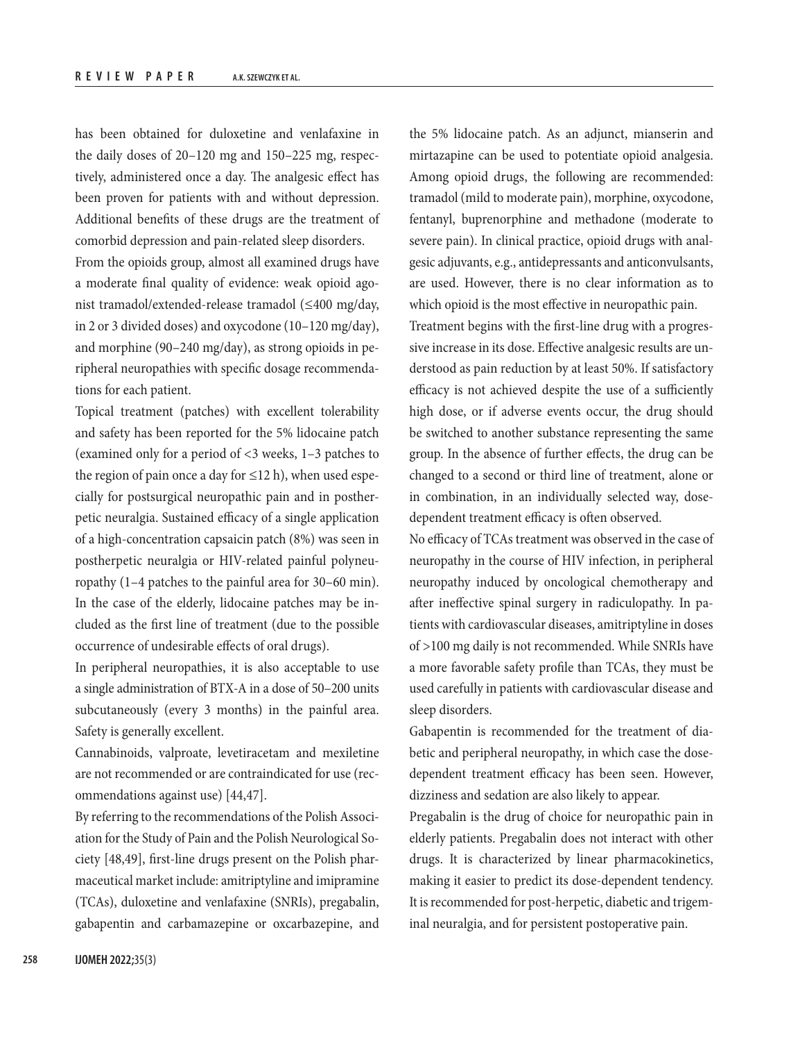has been obtained for duloxetine and venlafaxine in the daily doses of 20–120 mg and 150–225 mg, respectively, administered once a day. The analgesic effect has been proven for patients with and without depression. Additional benefits of these drugs are the treatment of comorbid depression and pain-related sleep disorders.

From the opioids group, almost all examined drugs have a moderate final quality of evidence: weak opioid agonist tramadol/extended-release tramadol (≤400 mg/day, in 2 or 3 divided doses) and oxycodone (10–120 mg/day), and morphine (90–240 mg/day), as strong opioids in peripheral neuropathies with specific dosage recommendations for each patient.

Topical treatment (patches) with excellent tolerability and safety has been reported for the 5% lidocaine patch (examined only for a period of <3 weeks, 1–3 patches to the region of pain once a day for  $\leq$ 12 h), when used especially for postsurgical neuropathic pain and in postherpetic neuralgia. Sustained efficacy of a single application of a high-concentration capsaicin patch (8%) was seen in postherpetic neuralgia or HIV-related painful polyneuropathy (1–4 patches to the painful area for 30–60 min). In the case of the elderly, lidocaine patches may be included as the first line of treatment (due to the possible occurrence of undesirable effects of oral drugs).

In peripheral neuropathies, it is also acceptable to use a single administration of BTX-A in a dose of 50–200 units subcutaneously (every 3 months) in the painful area. Safety is generally excellent.

Cannabinoids, valproate, levetiracetam and mexiletine are not recommended or are contraindicated for use (recommendations against use) [44,47].

By referring to the recommendations of the Polish Association for the Study of Pain and the Polish Neurological Society [48,49], first-line drugs present on the Polish pharmaceutical market include: amitriptyline and imipramine (TCAs), duloxetine and venlafaxine (SNRIs), pregabalin, gabapentin and carbamazepine or oxcarbazepine, and the 5% lidocaine patch. As an adjunct, mianserin and mirtazapine can be used to potentiate opioid analgesia. Among opioid drugs, the following are recommended: tramadol (mild to moderate pain), morphine, oxycodone, fentanyl, buprenorphine and methadone (moderate to severe pain). In clinical practice, opioid drugs with analgesic adjuvants, e.g., antidepressants and anticonvulsants, are used. However, there is no clear information as to which opioid is the most effective in neuropathic pain.

Treatment begins with the first-line drug with a progressive increase in its dose. Effective analgesic results are understood as pain reduction by at least 50%. If satisfactory efficacy is not achieved despite the use of a sufficiently high dose, or if adverse events occur, the drug should be switched to another substance representing the same group. In the absence of further effects, the drug can be changed to a second or third line of treatment, alone or in combination, in an individually selected way, dosedependent treatment efficacy is often observed.

No efficacy of TCAs treatment was observed in the case of neuropathy in the course of HIV infection, in peripheral neuropathy induced by oncological chemotherapy and after ineffective spinal surgery in radiculopathy. In patients with cardiovascular diseases, amitriptyline in doses of >100 mg daily is not recommended. While SNRIs have a more favorable safety profile than TCAs, they must be used carefully in patients with cardiovascular disease and sleep disorders.

Gabapentin is recommended for the treatment of diabetic and peripheral neuropathy, in which case the dosedependent treatment efficacy has been seen. However, dizziness and sedation are also likely to appear.

Pregabalin is the drug of choice for neuropathic pain in elderly patients. Pregabalin does not interact with other drugs. It is characterized by linear pharmacokinetics, making it easier to predict its dose-dependent tendency. It is recommended for post-herpetic, diabetic and trigeminal neuralgia, and for persistent postoperative pain.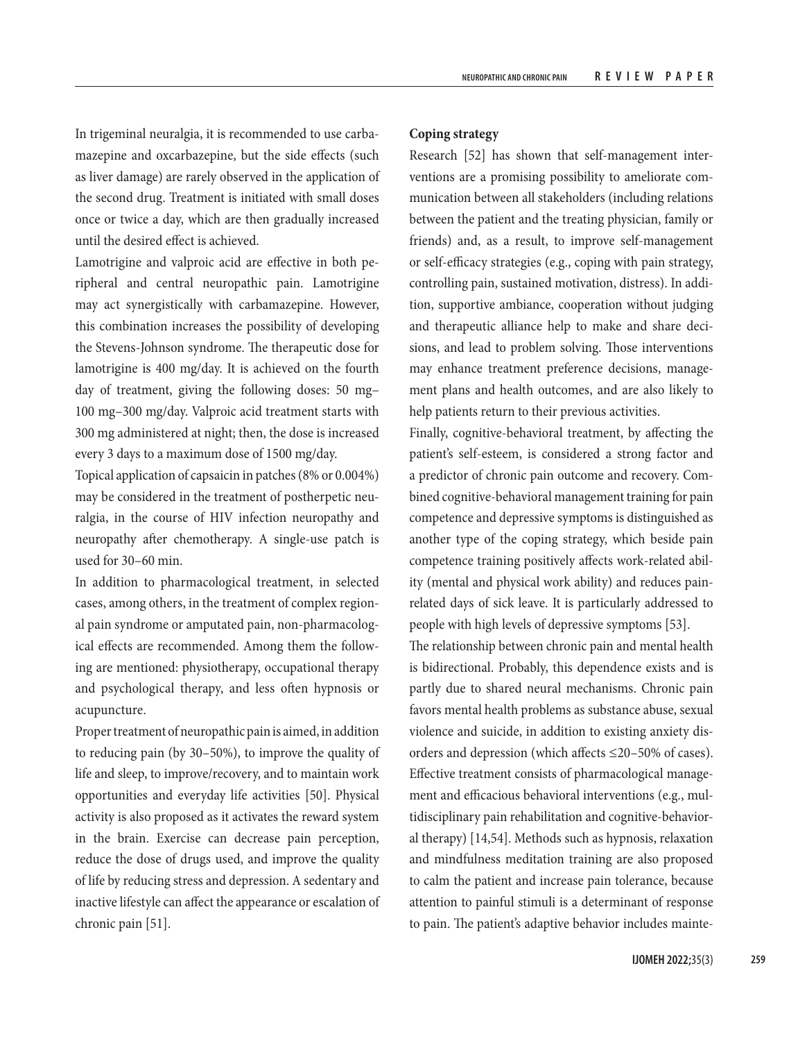In trigeminal neuralgia, it is recommended to use carbamazepine and oxcarbazepine, but the side effects (such as liver damage) are rarely observed in the application of the second drug. Treatment is initiated with small doses once or twice a day, which are then gradually increased until the desired effect is achieved.

Lamotrigine and valproic acid are effective in both peripheral and central neuropathic pain. Lamotrigine may act synergistically with carbamazepine. However, this combination increases the possibility of developing the Stevens-Johnson syndrome. The therapeutic dose for lamotrigine is 400 mg/day. It is achieved on the fourth day of treatment, giving the following doses: 50 mg– 100 mg–300 mg/day. Valproic acid treatment starts with 300 mg administered at night; then, the dose is increased every 3 days to a maximum dose of 1500 mg/day.

Topical application of capsaicin in patches (8% or 0.004%) may be considered in the treatment of postherpetic neuralgia, in the course of HIV infection neuropathy and neuropathy after chemotherapy. A single-use patch is used for 30–60 min.

In addition to pharmacological treatment, in selected cases, among others, in the treatment of complex regional pain syndrome or amputated pain, non-pharmacological effects are recommended. Among them the following are mentioned: physiotherapy, occupational therapy and psychological therapy, and less often hypnosis or acupuncture.

Proper treatment of neuropathic pain is aimed, in addition to reducing pain (by 30–50%), to improve the quality of life and sleep, to improve/recovery, and to maintain work opportunities and everyday life activities [50]. Physical activity is also proposed as it activates the reward system in the brain. Exercise can decrease pain perception, reduce the dose of drugs used, and improve the quality of life by reducing stress and depression. A sedentary and inactive lifestyle can affect the appearance or escalation of chronic pain [51].

# **Coping strategy**

Research [52] has shown that self-management interventions are a promising possibility to ameliorate communication between all stakeholders (including relations between the patient and the treating physician, family or friends) and, as a result, to improve self-management or self-efficacy strategies (e.g., coping with pain strategy, controlling pain, sustained motivation, distress). In addition, supportive ambiance, cooperation without judging and therapeutic alliance help to make and share decisions, and lead to problem solving. Those interventions may enhance treatment preference decisions, management plans and health outcomes, and are also likely to help patients return to their previous activities.

Finally, cognitive-behavioral treatment, by affecting the patient's self-esteem, is considered a strong factor and a predictor of chronic pain outcome and recovery. Combined cognitive-behavioral management training for pain competence and depressive symptoms is distinguished as another type of the coping strategy, which beside pain competence training positively affects work-related ability (mental and physical work ability) and reduces painrelated days of sick leave. It is particularly addressed to people with high levels of depressive symptoms [53].

The relationship between chronic pain and mental health is bidirectional. Probably, this dependence exists and is partly due to shared neural mechanisms. Chronic pain favors mental health problems as substance abuse, sexual violence and suicide, in addition to existing anxiety disorders and depression (which affects ≤20–50% of cases). Effective treatment consists of pharmacological management and efficacious behavioral interventions (e.g., multidisciplinary pain rehabilitation and cognitive-behavioral therapy) [14,54]. Methods such as hypnosis, relaxation and mindfulness meditation training are also proposed to calm the patient and increase pain tolerance, because attention to painful stimuli is a determinant of response to pain. The patient's adaptive behavior includes mainte-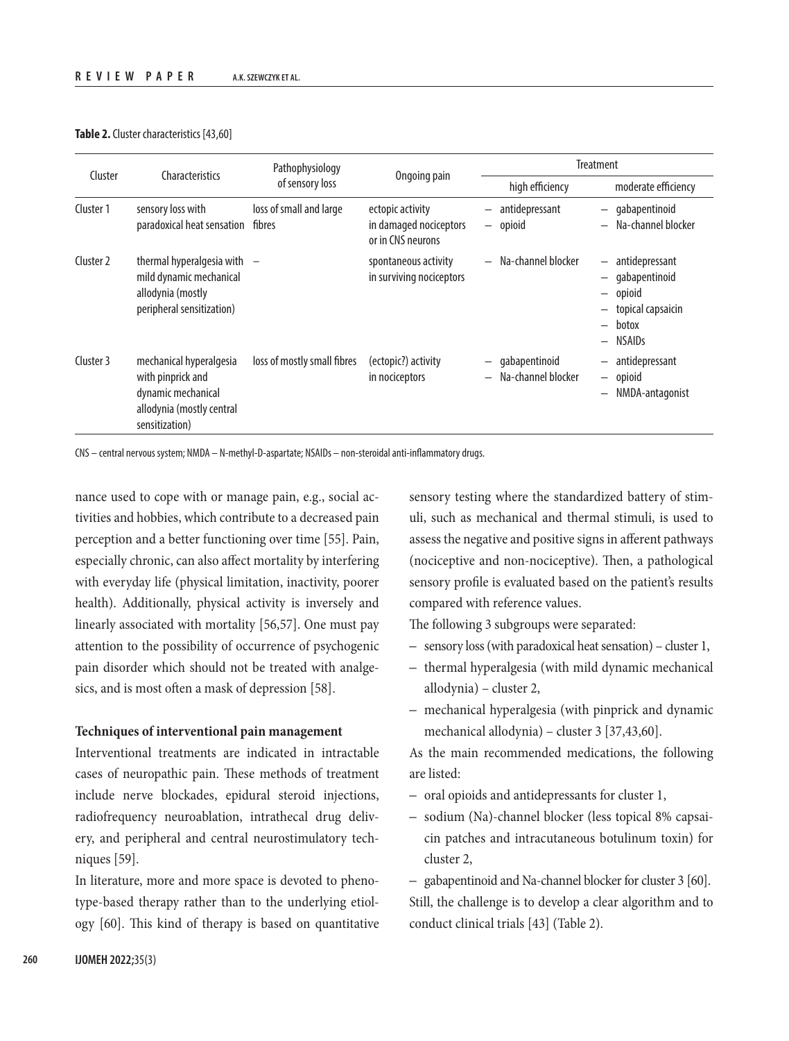#### **Table 2.** Cluster characteristics [43,60]

| Cluster   | Characteristics                                                                                                   | Pathophysiology<br>of sensory loss | Ongoing pain                                                    | <b>Treatment</b>                                                     |                                                                                               |
|-----------|-------------------------------------------------------------------------------------------------------------------|------------------------------------|-----------------------------------------------------------------|----------------------------------------------------------------------|-----------------------------------------------------------------------------------------------|
|           |                                                                                                                   |                                    |                                                                 | high efficiency                                                      | moderate efficiency                                                                           |
| Cluster 1 | sensory loss with<br>paradoxical heat sensation                                                                   | loss of small and large<br>fibres  | ectopic activity<br>in damaged nociceptors<br>or in CNS neurons | - antidepressant<br>$-$ opioid                                       | - gabapentinoid<br>Na-channel blocker                                                         |
| Cluster 2 | thermal hyperalgesia with<br>mild dynamic mechanical<br>allodynia (mostly<br>peripheral sensitization)            |                                    | spontaneous activity<br>in surviving nociceptors                | - Na-channel blocker                                                 | - antidepressant<br>gabapentinoid<br>- opioid<br>- topical capsaicin<br>- botox<br>$-$ NSAIDs |
| Cluster 3 | mechanical hyperalgesia<br>with pinprick and<br>dynamic mechanical<br>allodynia (mostly central<br>sensitization) | loss of mostly small fibres        | (ectopic?) activity<br>in nociceptors                           | gabapentinoid<br>—<br>Na-channel blocker<br>$\overline{\phantom{0}}$ | antidepressant<br>- opioid<br>NMDA-antagonist                                                 |

CNS – central nervous system; NMDA – N-methyl-D-aspartate; NSAIDs – non-steroidal anti-inflammatory drugs.

nance used to cope with or manage pain, e.g., social activities and hobbies, which contribute to a decreased pain perception and a better functioning over time [55]. Pain, especially chronic, can also affect mortality by interfering with everyday life (physical limitation, inactivity, poorer health). Additionally, physical activity is inversely and linearly associated with mortality [56,57]. One must pay attention to the possibility of occurrence of psychogenic pain disorder which should not be treated with analgesics, and is most often a mask of depression [58].

### **Techniques of interventional pain management**

Interventional treatments are indicated in intractable cases of neuropathic pain. These methods of treatment include nerve blockades, epidural steroid injections, radiofrequency neuroablation, intrathecal drug delivery, and peripheral and central neurostimulatory techniques [59].

In literature, more and more space is devoted to phenotype-based therapy rather than to the underlying etiology [60]. This kind of therapy is based on quantitative sensory testing where the standardized battery of stimuli, such as mechanical and thermal stimuli, is used to assess the negative and positive signs in afferent pathways (nociceptive and non-nociceptive). Then, a pathological sensory profile is evaluated based on the patient's results compared with reference values.

The following 3 subgroups were separated:

- sensory loss (with paradoxical heat sensation) cluster 1,
- thermal hyperalgesia (with mild dynamic mechanical allodynia) – cluster 2,
- mechanical hyperalgesia (with pinprick and dynamic mechanical allodynia) – cluster 3 [37,43,60].

As the main recommended medications, the following are listed:

- oral opioids and antidepressants for cluster 1,
- sodium (Na)-channel blocker (less topical 8% capsaicin patches and intracutaneous botulinum toxin) for cluster 2,
- gabapentinoid and Na-channel blocker for cluster 3 [60]. Still, the challenge is to develop a clear algorithm and to conduct clinical trials [43] (Table 2).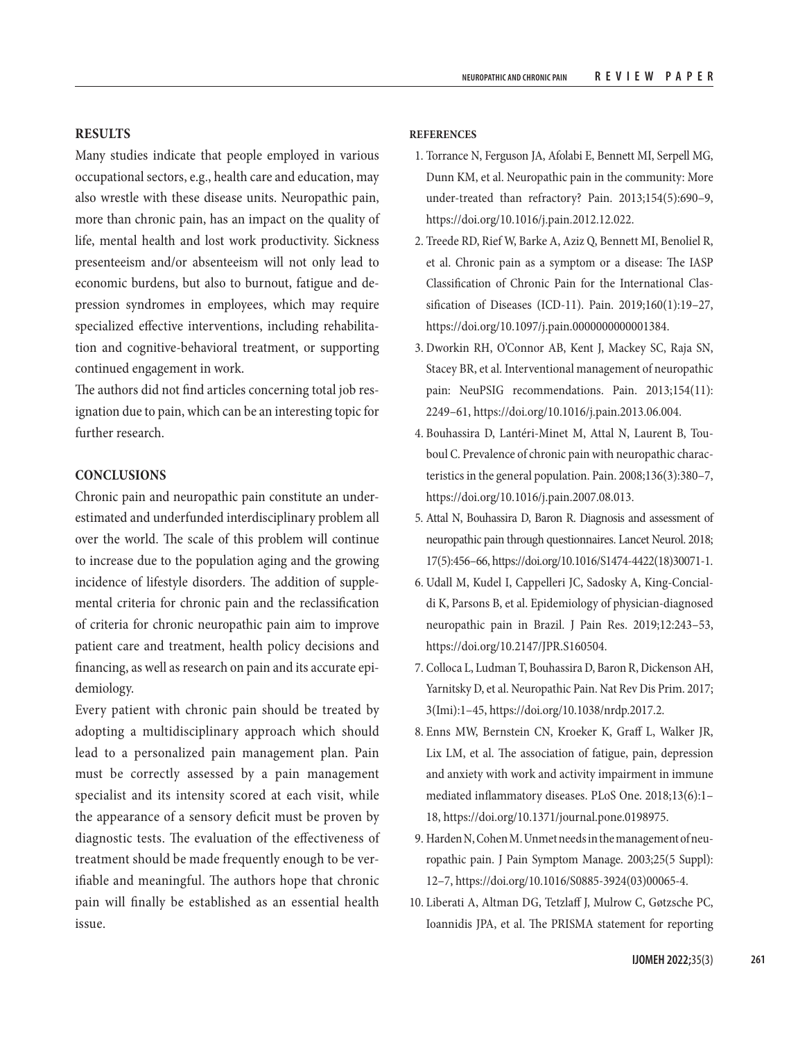# **RESULTS**

Many studies indicate that people employed in various occupational sectors, e.g., health care and education, may also wrestle with these disease units. Neuropathic pain, more than chronic pain, has an impact on the quality of life, mental health and lost work productivity. Sickness presenteeism and/or absenteeism will not only lead to economic burdens, but also to burnout, fatigue and depression syndromes in employees, which may require specialized effective interventions, including rehabilitation and cognitive-behavioral treatment, or supporting continued engagement in work.

The authors did not find articles concerning total job resignation due to pain, which can be an interesting topic for further research.

# **CONCLUSIONS**

Chronic pain and neuropathic pain constitute an underestimated and underfunded interdisciplinary problem all over the world. The scale of this problem will continue to increase due to the population aging and the growing incidence of lifestyle disorders. The addition of supplemental criteria for chronic pain and the reclassification of criteria for chronic neuropathic pain aim to improve patient care and treatment, health policy decisions and financing, as well as research on pain and its accurate epidemiology.

Every patient with chronic pain should be treated by adopting a multidisciplinary approach which should lead to a personalized pain management plan. Pain must be correctly assessed by a pain management specialist and its intensity scored at each visit, while the appearance of a sensory deficit must be proven by diagnostic tests. The evaluation of the effectiveness of treatment should be made frequently enough to be verifiable and meaningful. The authors hope that chronic pain will finally be established as an essential health issue.

#### **REFERENCES**

- 1. Torrance N, Ferguson JA, Afolabi E, Bennett MI, Serpell MG, Dunn KM, et al. Neuropathic pain in the community: More under-treated than refractory? Pain. 2013;154(5):690–9, [https://doi.org/10.1016/j.pain.2012.12.022.](https://doi.org/10.1016/j.pain.2012.12.022)
- 2. Treede RD, Rief W, Barke A, Aziz Q, Bennett MI, Benoliel R, et al. Chronic pain as a symptom or a disease: The IASP Classification of Chronic Pain for the International Classification of Diseases (ICD-11). Pain. 2019;160(1):19–27, <https://doi.org/10.1097/j.pain.0000000000001384>.
- 3. Dworkin RH, O'Connor AB, Kent J, Mackey SC, Raja SN, Stacey BR, et al. Interventional management of neuropathic pain: NeuPSIG recommendations. Pain. 2013;154(11): 2249–61, [https://doi.org/10.1016/j.pain.2013.06.004.](https://doi.org/10.1016/j.pain.2013.06.004)
- 4. Bouhassira D, Lantéri-Minet M, Attal N, Laurent B, Touboul C. Prevalence of chronic pain with neuropathic characteristics in the general population. Pain. 2008;136(3):380–7, [https://doi.org/10.1016/j.pain.2007.08.013.](https://doi.org/10.1016/j.pain.2007.08.013)
- 5. Attal N, Bouhassira D, Baron R. Diagnosis and assessment of neuropathic pain through questionnaires. Lancet Neurol. 2018; 17(5):456–66, [https://doi.org/10.1016/S1474-4422\(18\)30071-1](https://doi.org/10.1016/S1474-4422(18)30071-1).
- 6. Udall M, Kudel I, Cappelleri JC, Sadosky A, King-Concialdi K, Parsons B, et al. Epidemiology of physician-diagnosed neuropathic pain in Brazil. J Pain Res. 2019;12:243–53, <https://doi.org/10.2147/JPR.S160504>.
- 7. Colloca L, Ludman T, Bouhassira D, Baron R, Dickenson AH, Yarnitsky D, et al. Neuropathic Pain. Nat Rev Dis Prim. 2017; 3(Imi):1–45, [https://doi.org/10.1038/nrdp.2017.2.](https://doi.org/10.1038/nrdp.2017.2)
- 8. Enns MW, Bernstein CN, Kroeker K, Graff L, Walker JR, Lix LM, et al. The association of fatigue, pain, depression and anxiety with work and activity impairment in immune mediated inflammatory diseases. PLoS One. 2018;13(6):1– 18, [https://doi.org/10.1371/journal.pone.0198975.](https://doi.org/10.1371/journal.pone.0198975)
- 9. Harden N, Cohen M. Unmet needs in the management of neuropathic pain. J Pain Symptom Manage. 2003;25(5 Suppl): 12–7, [https://doi.org/10.1016/S0885-3924\(03\)00065-4.](https://doi.org/10.1016/S0885-3924(03)00065-4)
- 10. Liberati A, Altman DG, Tetzlaff J, Mulrow C, Gøtzsche PC, Ioannidis JPA, et al. The PRISMA statement for reporting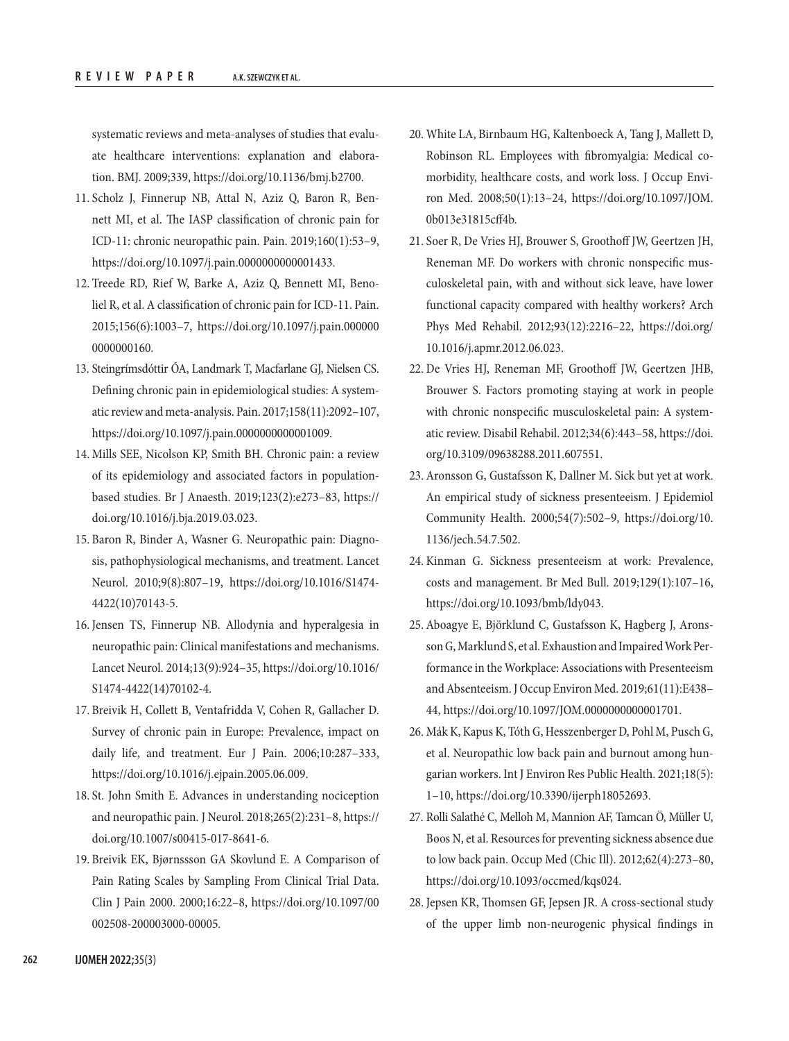systematic reviews and meta-analyses of studies that evaluate healthcare interventions: explanation and elaboration. BMJ. 2009;339, [https://doi.org/10.1136/bmj.b2700.](https://doi.org/10.1136/bmj.b2700)

- 11. Scholz J, Finnerup NB, Attal N, Aziz Q, Baron R, Bennett MI, et al. The IASP classification of chronic pain for ICD-11: chronic neuropathic pain. Pain. 2019;160(1):53–9, <https://doi.org/10.1097/j.pain.0000000000001433>.
- 12. Treede RD, Rief W, Barke A, Aziz Q, Bennett MI, Benoliel R, et al. A classification of chronic pain for ICD-11. Pain. 2015;156(6):1003–7, [https://doi.org/10.1097/j.pain.000000](https://doi.org/10.1097/j.pain.0000000000000160) [0000000160.](https://doi.org/10.1097/j.pain.0000000000000160)
- 13. Steingrímsdóttir ÓA, Landmark T, Macfarlane GJ, Nielsen CS. Defining chronic pain in epidemiological studies: A systematic review and meta-analysis. Pain. 2017;158(11):2092–107, [https://doi.org/10.1097/j.pain.0000000000001009.](https://doi.org/10.1097/j.pain.0000000000001009)
- 14. Mills SEE, Nicolson KP, Smith BH. Chronic pain: a review of its epidemiology and associated factors in populationbased studies. Br J Anaesth. 2019;123(2):e273–83, [https://](https://doi.org/10.1016/j.bja.2019.03.023) [doi.org/10.1016/j.bja.2019.03.023](https://doi.org/10.1016/j.bja.2019.03.023).
- 15. Baron R, Binder A, Wasner G. Neuropathic pain: Diagnosis, pathophysiological mechanisms, and treatment. Lancet Neurol. 2010;9(8):807–19, [https://doi.org/10.1016/S1474-](https://doi.org/10.1016/S1474-4422(10)70143-5) [4422\(10\)70143-5](https://doi.org/10.1016/S1474-4422(10)70143-5).
- 16. Jensen TS, Finnerup NB. Allodynia and hyperalgesia in neuropathic pain: Clinical manifestations and mechanisms. Lancet Neurol. 2014;13(9):924–35, [https://doi.org/10.1016/](https://doi.org/10.1016/S1474-4422(14)70102-4) [S1474-4422\(14\)70102-4.](https://doi.org/10.1016/S1474-4422(14)70102-4)
- 17. Breivik H, Collett B, Ventafridda V, Cohen R, Gallacher D. Survey of chronic pain in Europe: Prevalence, impact on daily life, and treatment. Eur J Pain. 2006;10:287–333, [https://doi.org/10.1016/j.ejpain.2005.06.009.](https://doi.org/10.1016/j.ejpain.2005.06.009)
- 18. St. John Smith E. Advances in understanding nociception and neuropathic pain. J Neurol. 2018;265(2):231–8, [https://](https://doi.org/10.1007/s00415-017-8641-6) [doi.org/10.1007/s00415-017-8641-6](https://doi.org/10.1007/s00415-017-8641-6).
- 19. Breivik EK, Bjørnssson GA Skovlund E. A Comparison of Pain Rating Scales by Sampling From Clinical Trial Data. Clin J Pain 2000. 2000;16:22–8, [https://doi.org/10.1097/00](https://doi.org/10.1097/00002508-200003000-00005) [002508-200003000-00005.](https://doi.org/10.1097/00002508-200003000-00005)
- 20. White LA, Birnbaum HG, Kaltenboeck A, Tang J, Mallett D, Robinson RL. Employees with fibromyalgia: Medical comorbidity, healthcare costs, and work loss. J Occup Environ Med. 2008;50(1):13–24, [https://doi.org/10.1097/JOM.](https://doi.org/10.1097/JOM.0b013e31815cff4b) [0b013e31815cff4b](https://doi.org/10.1097/JOM.0b013e31815cff4b).
- 21. Soer R, De Vries HJ, Brouwer S, Groothoff JW, Geertzen JH, Reneman MF. Do workers with chronic nonspecific musculoskeletal pain, with and without sick leave, have lower functional capacity compared with healthy workers? Arch Phys Med Rehabil. 2012;93(12):2216–22, [https://doi.org/](https://doi.org/10.1016/j.apmr.2012.06.023) [10.1016/j.apmr.2012.06.023](https://doi.org/10.1016/j.apmr.2012.06.023).
- 22. De Vries HJ, Reneman MF, Groothoff JW, Geertzen JHB, Brouwer S. Factors promoting staying at work in people with chronic nonspecific musculoskeletal pain: A systematic review. Disabil Rehabil. 2012;34(6):443–58, [https://doi.](https://doi.org/10.3109/09638288.2011.607551) [org/10.3109/09638288.2011.607551.](https://doi.org/10.3109/09638288.2011.607551)
- 23. Aronsson G, Gustafsson K, Dallner M. Sick but yet at work. An empirical study of sickness presenteeism. J Epidemiol Community Health. 2000;54(7):502–9, [https://doi.org/10.](https://doi.org/10.1136/jech.54.7.502) [1136/jech.54.7.502.](https://doi.org/10.1136/jech.54.7.502)
- 24. Kinman G. Sickness presenteeism at work: Prevalence, costs and management. Br Med Bull. 2019;129(1):107–16, [https://doi.org/10.1093/bmb/ldy043.](https://doi.org/10.1093/bmb/ldy043)
- 25. Aboagye E, Björklund C, Gustafsson K, Hagberg J, Aronsson G, Marklund S, et al. Exhaustion and Impaired Work Performance in the Workplace: Associations with Presenteeism and Absenteeism. J Occup Environ Med. 2019;61(11):E438– 44, [https://doi.org/10.1097/JOM.0000000000001701.](https://doi.org/10.1097/JOM.0000000000001701)
- 26. Mák K, Kapus K, Tóth G, Hesszenberger D, Pohl M, Pusch G, et al. Neuropathic low back pain and burnout among hungarian workers. Int J Environ Res Public Health. 2021;18(5): 1–10,<https://doi.org/10.3390/ijerph18052693>.
- 27. Rolli Salathé C, Melloh M, Mannion AF, Tamcan Ö, Müller U, Boos N, et al. Resources for preventing sickness absence due to low back pain. Occup Med (Chic Ill). 2012;62(4):273–80, <https://doi.org/10.1093/occmed/kqs024>.
- 28. Jepsen KR, Thomsen GF, Jepsen JR. A cross-sectional study of the upper limb non-neurogenic physical findings in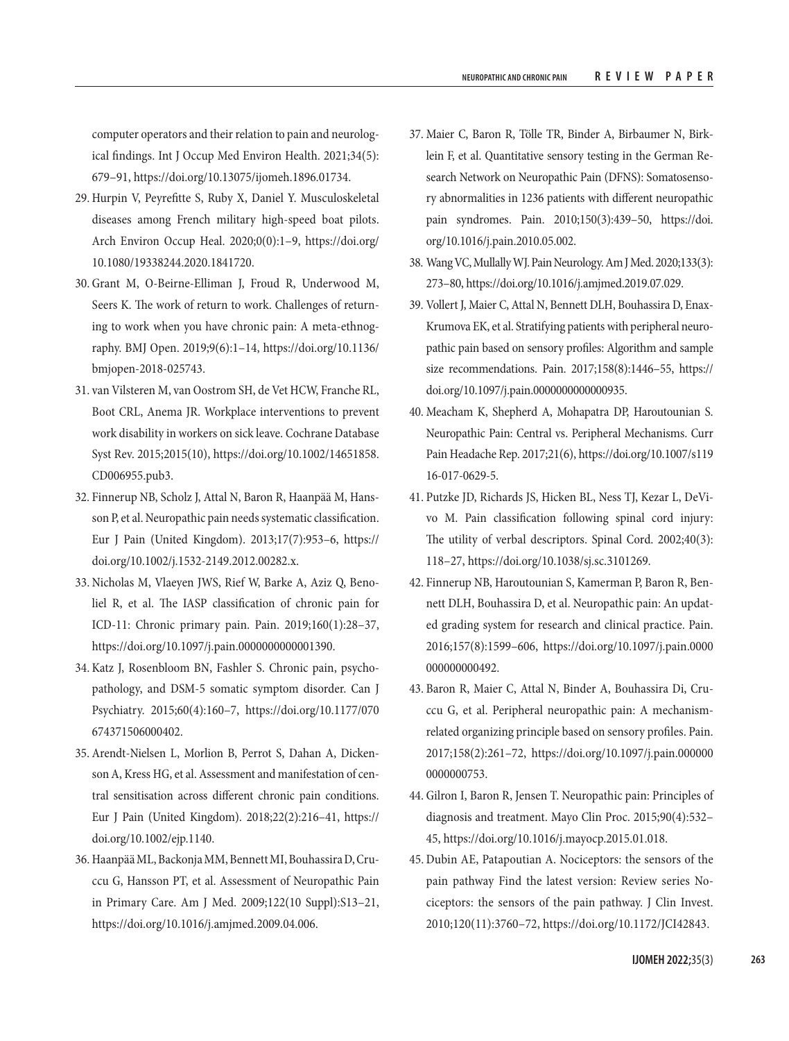computer operators and their relation to pain and neurological findings. Int J Occup Med Environ Health. 2021;34(5): 679–91, [https://doi.org/10.13075/ijomeh.1896.01734.](https://doi.org/10.13075/ijomeh.1896.01734)

- 29. Hurpin V, Peyrefitte S, Ruby X, Daniel Y. Musculoskeletal diseases among French military high-speed boat pilots. Arch Environ Occup Heal. 2020;0(0):1–9, [https://doi.org/](https://doi.org/10.1080/19338244.2020.1841720) [10.1080/19338244.2020.1841720.](https://doi.org/10.1080/19338244.2020.1841720)
- 30. Grant M, O-Beirne-Elliman J, Froud R, Underwood M, Seers K. The work of return to work. Challenges of returning to work when you have chronic pain: A meta-ethnography. BMJ Open. 2019;9(6):1–14, [https://doi.org/10.1136/](https://doi.org/10.1136/bmjopen-2018-025743) [bmjopen-2018-025743.](https://doi.org/10.1136/bmjopen-2018-025743)
- 31. van Vilsteren M, van Oostrom SH, de Vet HCW, Franche RL, Boot CRL, Anema JR. Workplace interventions to prevent work disability in workers on sick leave. Cochrane Database Syst Rev. 2015;2015(10), [https://doi.org/10.1002/14651858.](https://doi.org/10.1002/14651858.CD006955.pub3) [CD006955.pub3.](https://doi.org/10.1002/14651858.CD006955.pub3)
- 32. Finnerup NB, Scholz J, Attal N, Baron R, Haanpää M, Hansson P, et al. Neuropathic pain needs systematic classification. Eur J Pain (United Kingdom). 2013;17(7):953–6, [https://](https://doi.org/10.1002/j.1532-2149.2012.00282.x) [doi.org/10.1002/j.1532-2149.2012.00282.x.](https://doi.org/10.1002/j.1532-2149.2012.00282.x)
- 33. Nicholas M, Vlaeyen JWS, Rief W, Barke A, Aziz Q, Benoliel R, et al. The IASP classification of chronic pain for ICD-11: Chronic primary pain. Pain. 2019;160(1):28–37, <https://doi.org/10.1097/j.pain.0000000000001390>.
- 34. Katz J, Rosenbloom BN, Fashler S. Chronic pain, psychopathology, and DSM-5 somatic symptom disorder. Can J Psychiatry. 2015;60(4):160–7, [https://doi.org/10.1177/070](https://doi.org/10.1177/070674371506000402) [674371506000402](https://doi.org/10.1177/070674371506000402).
- 35. Arendt-Nielsen L, Morlion B, Perrot S, Dahan A, Dickenson A, Kress HG, et al. Assessment and manifestation of central sensitisation across different chronic pain conditions. Eur J Pain (United Kingdom). 2018;22(2):216–41, [https://](https://doi.org/10.1002/ejp.1140) [doi.org/10.1002/ejp.1140.](https://doi.org/10.1002/ejp.1140)
- 36. Haanpää ML, Backonja MM, Bennett MI, Bouhassira D, Cruccu G, Hansson PT, et al. Assessment of Neuropathic Pain in Primary Care. Am J Med. 2009;122(10 Suppl):S13–21, <https://doi.org/10.1016/j.amjmed.2009.04.006>.
- 37. Maier C, Baron R, Tölle TR, Binder A, Birbaumer N, Birklein F, et al. Quantitative sensory testing in the German Research Network on Neuropathic Pain (DFNS): Somatosensory abnormalities in 1236 patients with different neuropathic pain syndromes. Pain. 2010;150(3):439–50, [https://doi.](https://doi.org/10.1016/j.pain.2010.05.002) [org/10.1016/j.pain.2010.05.002.](https://doi.org/10.1016/j.pain.2010.05.002)
- 38. Wang VC, Mullally WJ. Pain Neurology. Am J Med. 2020;133(3): 273–80,<https://doi.org/10.1016/j.amjmed.2019.07.029>.
- 39. Vollert J, Maier C, Attal N, Bennett DLH, Bouhassira D, Enax-Krumova EK, et al. Stratifying patients with peripheral neuropathic pain based on sensory profiles: Algorithm and sample size recommendations. Pain. 2017;158(8):1446–55, [https://](https://doi.org/10.1097/j.pain.0000000000000935) [doi.org/10.1097/j.pain.0000000000000935.](https://doi.org/10.1097/j.pain.0000000000000935)
- 40. Meacham K, Shepherd A, Mohapatra DP, Haroutounian S. Neuropathic Pain: Central vs. Peripheral Mechanisms. Curr Pain Headache Rep. 2017;21(6), [https://doi.org/10.1007/s119](https://doi.org/10.1007/s11916-017-0629-5) [16-017-0629-5](https://doi.org/10.1007/s11916-017-0629-5).
- 41. Putzke JD, Richards JS, Hicken BL, Ness TJ, Kezar L, DeVivo M. Pain classification following spinal cord injury: The utility of verbal descriptors. Spinal Cord. 2002;40(3): 118–27,<https://doi.org/10.1038/sj.sc.3101269>.
- 42. Finnerup NB, Haroutounian S, Kamerman P, Baron R, Bennett DLH, Bouhassira D, et al. Neuropathic pain: An updated grading system for research and clinical practice. Pain. 2016;157(8):1599–606, [https://doi.org/10.1097/j.pain.0000](https://doi.org/10.1097/j.pain.0000000000000492) [000000000492](https://doi.org/10.1097/j.pain.0000000000000492).
- 43. Baron R, Maier C, Attal N, Binder A, Bouhassira Di, Cruccu G, et al. Peripheral neuropathic pain: A mechanismrelated organizing principle based on sensory profiles. Pain. 2017;158(2):261–72, [https://doi.org/10.1097/j.pain.000000](https://doi.org/10.1097/j.pain.0000000000000753) [0000000753](https://doi.org/10.1097/j.pain.0000000000000753).
- 44. Gilron I, Baron R, Jensen T. Neuropathic pain: Principles of diagnosis and treatment. Mayo Clin Proc. 2015;90(4):532– 45, <https://doi.org/10.1016/j.mayocp.2015.01.018>.
- 45.Dubin AE, Patapoutian A. Nociceptors: the sensors of the pain pathway Find the latest version: Review series Nociceptors: the sensors of the pain pathway. J Clin Invest. 2010;120(11):3760–72, [https://doi.org/10.1172/JCI42843.](https://doi.org/10.1172/JCI42843)